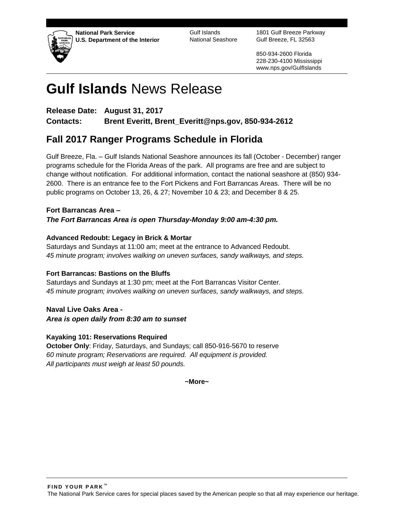

**National Park Service U.S. Department of the Interior** Gulf Islands National Seashore

1801 Gulf Breeze Parkway Gulf Breeze, FL 32563

850-934-2600 Florida 228-230-4100 Mississippi www.nps.gov/GulfIslands

# **Gulf Islands** News Release

**Release Date: August 31, 2017 Contacts: Brent Everitt, Brent\_Everitt@nps.gov, 850-934-2612**

# **Fall 2017 Ranger Programs Schedule in Florida**

Gulf Breeze, Fla. – Gulf Islands National Seashore announces its fall (October - December) ranger programs schedule for the Florida Areas of the park. All programs are free and are subject to change without notification. For additional information, contact the national seashore at (850) 934- 2600. There is an entrance fee to the Fort Pickens and Fort Barrancas Areas. There will be no public programs on October 13, 26, & 27; November 10 & 23; and December 8 & 25.

**Fort Barrancas Area –** *The Fort Barrancas Area is open Thursday-Monday 9:00 am-4:30 pm.*

# **Advanced Redoubt: Legacy in Brick & Mortar**

Saturdays and Sundays at 11:00 am; meet at the entrance to Advanced Redoubt. *45 minute program; involves walking on uneven surfaces, sandy walkways, and steps.* 

# **Fort Barrancas: Bastions on the Bluffs**

Saturdays and Sundays at 1:30 pm; meet at the Fort Barrancas Visitor Center. *45 minute program; involves walking on uneven surfaces, sandy walkways, and steps.*

**Naval Live Oaks Area -** *Area is open daily from 8:30 am to sunset*

# **Kayaking 101: Reservations Required**

**October Only**: Friday, Saturdays, and Sundays; call 850-916-5670 to reserve *60 minute program; Reservations are required. All equipment is provided. All participants must weigh at least 50 pounds.*

**~More~**